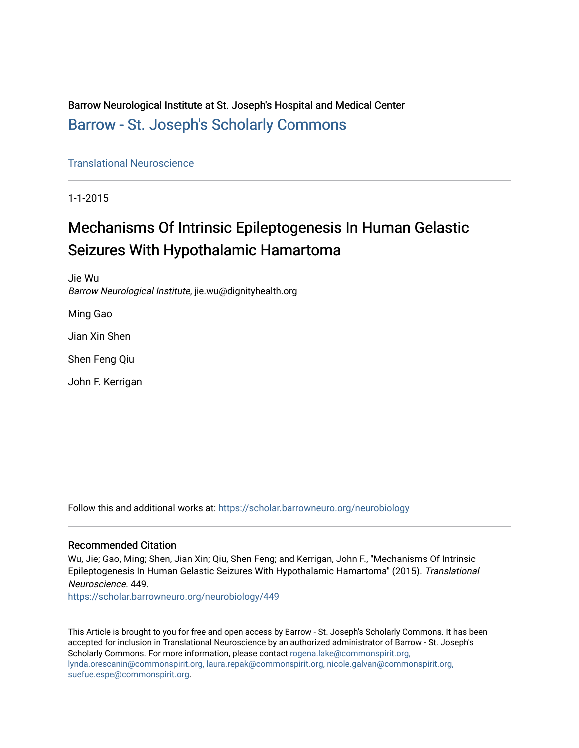Barrow Neurological Institute at St. Joseph's Hospital and Medical Center [Barrow - St. Joseph's Scholarly Commons](https://scholar.barrowneuro.org/) 

[Translational Neuroscience](https://scholar.barrowneuro.org/neurobiology)

1-1-2015

# Mechanisms Of Intrinsic Epileptogenesis In Human Gelastic Seizures With Hypothalamic Hamartoma

Jie Wu Barrow Neurological Institute, jie.wu@dignityhealth.org

Ming Gao

Jian Xin Shen

Shen Feng Qiu

John F. Kerrigan

Follow this and additional works at: [https://scholar.barrowneuro.org/neurobiology](https://scholar.barrowneuro.org/neurobiology?utm_source=scholar.barrowneuro.org%2Fneurobiology%2F449&utm_medium=PDF&utm_campaign=PDFCoverPages)

#### Recommended Citation

Wu, Jie; Gao, Ming; Shen, Jian Xin; Qiu, Shen Feng; and Kerrigan, John F., "Mechanisms Of Intrinsic Epileptogenesis In Human Gelastic Seizures With Hypothalamic Hamartoma" (2015). Translational Neuroscience. 449.

[https://scholar.barrowneuro.org/neurobiology/449](https://scholar.barrowneuro.org/neurobiology/449?utm_source=scholar.barrowneuro.org%2Fneurobiology%2F449&utm_medium=PDF&utm_campaign=PDFCoverPages)

This Article is brought to you for free and open access by Barrow - St. Joseph's Scholarly Commons. It has been accepted for inclusion in Translational Neuroscience by an authorized administrator of Barrow - St. Joseph's Scholarly Commons. For more information, please contact [rogena.lake@commonspirit.org,](mailto:rogena.lake@commonspirit.org,%20lynda.orescanin@commonspirit.org,%20laura.repak@commonspirit.org,%20nicole.galvan@commonspirit.org,%20suefue.espe@commonspirit.org) [lynda.orescanin@commonspirit.org, laura.repak@commonspirit.org, nicole.galvan@commonspirit.org,](mailto:rogena.lake@commonspirit.org,%20lynda.orescanin@commonspirit.org,%20laura.repak@commonspirit.org,%20nicole.galvan@commonspirit.org,%20suefue.espe@commonspirit.org)  [suefue.espe@commonspirit.org](mailto:rogena.lake@commonspirit.org,%20lynda.orescanin@commonspirit.org,%20laura.repak@commonspirit.org,%20nicole.galvan@commonspirit.org,%20suefue.espe@commonspirit.org).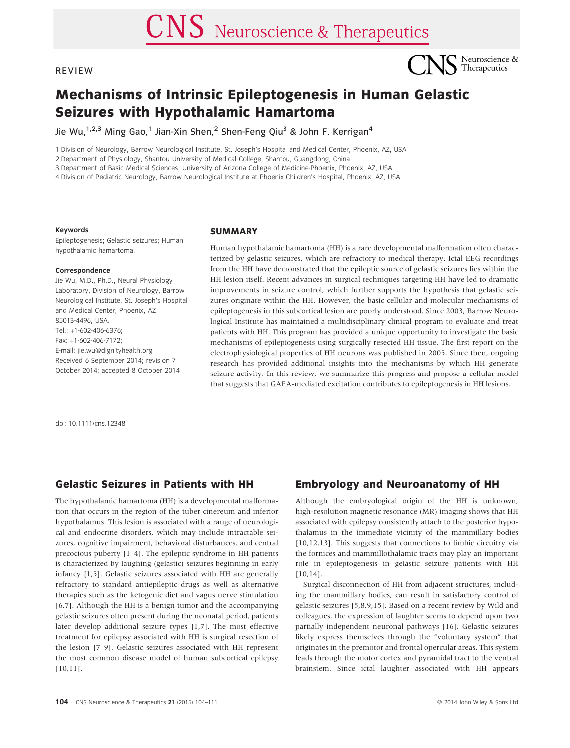#### **REVIEW**



## Mechanisms of Intrinsic Epileptogenesis in Human Gelastic Seizures with Hypothalamic Hamartoma

Jie Wu,<sup>1,2,3</sup> Ming Gao,<sup>1</sup> Jian-Xin Shen,<sup>2</sup> Shen-Feng Qiu<sup>3</sup> & John F. Kerrigan<sup>4</sup>

1 Division of Neurology, Barrow Neurological Institute, St. Joseph's Hospital and Medical Center, Phoenix, AZ, USA

2 Department of Physiology, Shantou University of Medical College, Shantou, Guangdong, China

3 Department of Basic Medical Sciences, University of Arizona College of Medicine-Phoenix, Phoenix, AZ, USA

4 Division of Pediatric Neurology, Barrow Neurological Institute at Phoenix Children's Hospital, Phoenix, AZ, USA

#### Keywords

Epileptogenesis; Gelastic seizures; Human hypothalamic hamartoma.

#### Correspondence

Jie Wu, M.D., Ph.D., Neural Physiology Laboratory, Division of Neurology, Barrow Neurological Institute, St. Joseph's Hospital and Medical Center, Phoenix, AZ 85013-4496, USA. Tel.: +1-602-406-6376; Fax: +1-602-406-7172; E-mail: jie.wu@dignityhealth.org Received 6 September 2014; revision 7 October 2014; accepted 8 October 2014

#### **SUMMARY**

Human hypothalamic hamartoma (HH) is a rare developmental malformation often characterized by gelastic seizures, which are refractory to medical therapy. Ictal EEG recordings from the HH have demonstrated that the epileptic source of gelastic seizures lies within the HH lesion itself. Recent advances in surgical techniques targeting HH have led to dramatic improvements in seizure control, which further supports the hypothesis that gelastic seizures originate within the HH. However, the basic cellular and molecular mechanisms of epileptogenesis in this subcortical lesion are poorly understood. Since 2003, Barrow Neurological Institute has maintained a multidisciplinary clinical program to evaluate and treat patients with HH. This program has provided a unique opportunity to investigate the basic mechanisms of epileptogenesis using surgically resected HH tissue. The first report on the electrophysiological properties of HH neurons was published in 2005. Since then, ongoing research has provided additional insights into the mechanisms by which HH generate seizure activity. In this review, we summarize this progress and propose a cellular model that suggests that GABA-mediated excitation contributes to epileptogenesis in HH lesions.

doi: 10.1111/cns.12348

#### Gelastic Seizures in Patients with HH

The hypothalamic hamartoma (HH) is a developmental malformation that occurs in the region of the tuber cinereum and inferior hypothalamus. This lesion is associated with a range of neurological and endocrine disorders, which may include intractable seizures, cognitive impairment, behavioral disturbances, and central precocious puberty [1–4]. The epileptic syndrome in HH patients is characterized by laughing (gelastic) seizures beginning in early infancy [1,5]. Gelastic seizures associated with HH are generally refractory to standard antiepileptic drugs as well as alternative therapies such as the ketogenic diet and vagus nerve stimulation [6,7]. Although the HH is a benign tumor and the accompanying gelastic seizures often present during the neonatal period, patients later develop additional seizure types [1,7]. The most effective treatment for epilepsy associated with HH is surgical resection of the lesion [7–9]. Gelastic seizures associated with HH represent the most common disease model of human subcortical epilepsy [10,11].

#### Embryology and Neuroanatomy of HH

Although the embryological origin of the HH is unknown, high-resolution magnetic resonance (MR) imaging shows that HH associated with epilepsy consistently attach to the posterior hypothalamus in the immediate vicinity of the mammillary bodies [10,12,13]. This suggests that connections to limbic circuitry via the fornices and mammillothalamic tracts may play an important role in epileptogenesis in gelastic seizure patients with HH [10,14].

Surgical disconnection of HH from adjacent structures, including the mammillary bodies, can result in satisfactory control of gelastic seizures [5,8,9,15]. Based on a recent review by Wild and colleagues, the expression of laughter seems to depend upon two partially independent neuronal pathways [16]. Gelastic seizures likely express themselves through the "voluntary system" that originates in the premotor and frontal opercular areas. This system leads through the motor cortex and pyramidal tract to the ventral brainstem. Since ictal laughter associated with HH appears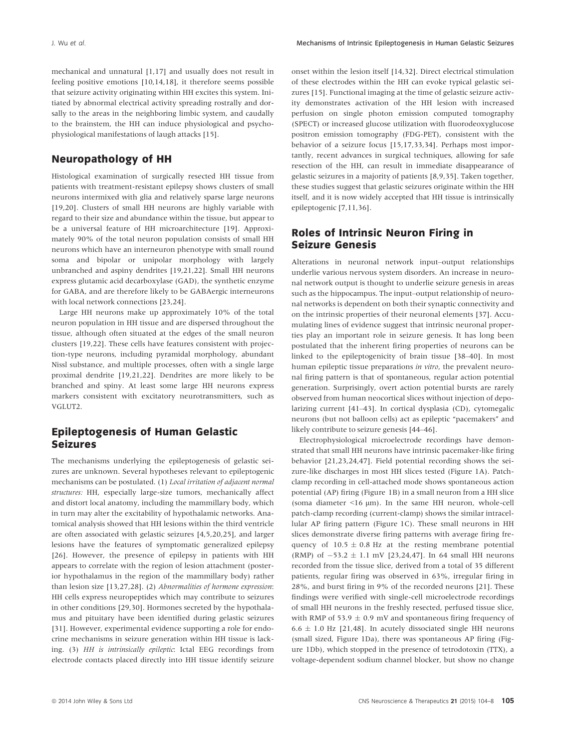mechanical and unnatural [1,17] and usually does not result in feeling positive emotions [10,14,18], it therefore seems possible that seizure activity originating within HH excites this system. Initiated by abnormal electrical activity spreading rostrally and dorsally to the areas in the neighboring limbic system, and caudally to the brainstem, the HH can induce physiological and psychophysiological manifestations of laugh attacks [15].

#### Neuropathology of HH

Histological examination of surgically resected HH tissue from patients with treatment-resistant epilepsy shows clusters of small neurons intermixed with glia and relatively sparse large neurons [19,20]. Clusters of small HH neurons are highly variable with regard to their size and abundance within the tissue, but appear to be a universal feature of HH microarchitecture [19]. Approximately 90% of the total neuron population consists of small HH neurons which have an interneuron phenotype with small round soma and bipolar or unipolar morphology with largely unbranched and aspiny dendrites [19,21,22]. Small HH neurons express glutamic acid decarboxylase (GAD), the synthetic enzyme for GABA, and are therefore likely to be GABAergic interneurons with local network connections [23,24].

Large HH neurons make up approximately 10% of the total neuron population in HH tissue and are dispersed throughout the tissue, although often situated at the edges of the small neuron clusters [19,22]. These cells have features consistent with projection-type neurons, including pyramidal morphology, abundant Nissl substance, and multiple processes, often with a single large proximal dendrite [19,21,22]. Dendrites are more likely to be branched and spiny. At least some large HH neurons express markers consistent with excitatory neurotransmitters, such as VGLUT2.

#### Epileptogenesis of Human Gelastic Seizures

The mechanisms underlying the epileptogenesis of gelastic seizures are unknown. Several hypotheses relevant to epileptogenic mechanisms can be postulated. (1) Local irritation of adjacent normal structures: HH, especially large-size tumors, mechanically affect and distort local anatomy, including the mammillary body, which in turn may alter the excitability of hypothalamic networks. Anatomical analysis showed that HH lesions within the third ventricle are often associated with gelastic seizures [4,5,20,25], and larger lesions have the features of symptomatic generalized epilepsy [26]. However, the presence of epilepsy in patients with HH appears to correlate with the region of lesion attachment (posterior hypothalamus in the region of the mammillary body) rather than lesion size [13,27,28]. (2) Abnormalities of hormone expression: HH cells express neuropeptides which may contribute to seizures in other conditions [29,30]. Hormones secreted by the hypothalamus and pituitary have been identified during gelastic seizures [31]. However, experimental evidence supporting a role for endocrine mechanisms in seizure generation within HH tissue is lacking. (3) HH is intrinsically epileptic: Ictal EEG recordings from electrode contacts placed directly into HH tissue identify seizure onset within the lesion itself [14,32]. Direct electrical stimulation of these electrodes within the HH can evoke typical gelastic seizures [15]. Functional imaging at the time of gelastic seizure activity demonstrates activation of the HH lesion with increased perfusion on single photon emission computed tomography (SPECT) or increased glucose utilization with fluorodeoxyglucose positron emission tomography (FDG-PET), consistent with the behavior of a seizure focus [15,17,33,34]. Perhaps most importantly, recent advances in surgical techniques, allowing for safe resection of the HH, can result in immediate disappearance of gelastic seizures in a majority of patients [8,9,35]. Taken together, these studies suggest that gelastic seizures originate within the HH itself, and it is now widely accepted that HH tissue is intrinsically epileptogenic [7,11,36].

#### Roles of Intrinsic Neuron Firing in Seizure Genesis

Alterations in neuronal network input–output relationships underlie various nervous system disorders. An increase in neuronal network output is thought to underlie seizure genesis in areas such as the hippocampus. The input–output relationship of neuronal networks is dependent on both their synaptic connectivity and on the intrinsic properties of their neuronal elements [37]. Accumulating lines of evidence suggest that intrinsic neuronal properties play an important role in seizure genesis. It has long been postulated that the inherent firing properties of neurons can be linked to the epileptogenicity of brain tissue [38–40]. In most human epileptic tissue preparations *in vitro*, the prevalent neuronal firing pattern is that of spontaneous, regular action potential generation. Surprisingly, overt action potential bursts are rarely observed from human neocortical slices without injection of depolarizing current [41–43]. In cortical dysplasia (CD), cytomegalic neurons (but not balloon cells) act as epileptic "pacemakers" and likely contribute to seizure genesis [44–46].

Electrophysiological microelectrode recordings have demonstrated that small HH neurons have intrinsic pacemaker-like firing behavior [21,23,24,47]. Field potential recording shows the seizure-like discharges in most HH slices tested (Figure 1A). Patchclamp recording in cell-attached mode shows spontaneous action potential (AP) firing (Figure 1B) in a small neuron from a HH slice (soma diameter  $\leq 16 \mu m$ ). In the same HH neuron, whole-cell patch-clamp recording (current-clamp) shows the similar intracellular AP firing pattern (Figure 1C). These small neurons in HH slices demonstrate diverse firing patterns with average firing frequency of  $10.5 \pm 0.8$  Hz at the resting membrane potential (RMP) of  $-53.2 \pm 1.1$  mV [23,24,47]. In 64 small HH neurons recorded from the tissue slice, derived from a total of 35 different patients, regular firing was observed in 63%, irregular firing in 28%, and burst firing in 9% of the recorded neurons [21]. These findings were verified with single-cell microelectrode recordings of small HH neurons in the freshly resected, perfused tissue slice, with RMP of 53.9  $\pm$  0.9 mV and spontaneous firing frequency of  $6.6 \pm 1.0$  Hz [21,48]. In acutely dissociated single HH neurons (small sized, Figure 1Da), there was spontaneous AP firing (Figure 1Db), which stopped in the presence of tetrodotoxin (TTX), a voltage-dependent sodium channel blocker, but show no change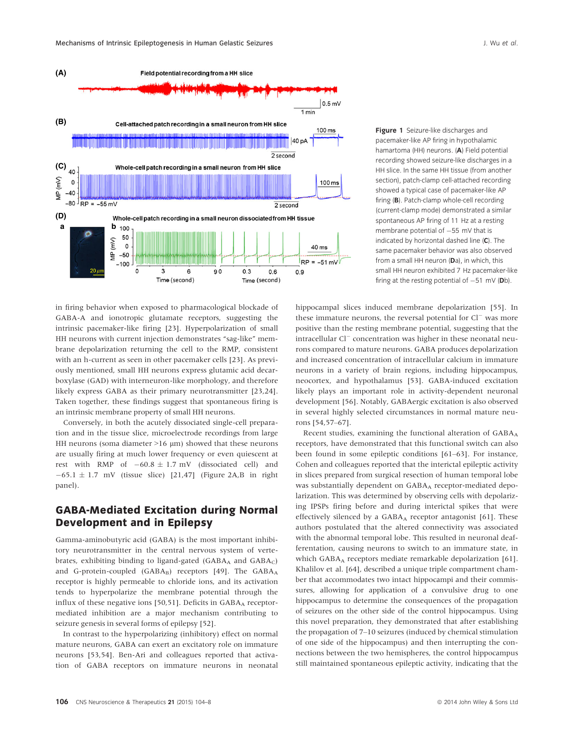

Figure 1 Seizure-like discharges and pacemaker-like AP firing in hypothalamic hamartoma (HH) neurons. (A) Field potential recording showed seizure-like discharges in a HH slice. In the same HH tissue (from another section), patch-clamp cell-attached recording showed a typical case of pacemaker-like AP firing (B). Patch-clamp whole-cell recording (current-clamp mode) demonstrated a similar spontaneous AP firing of 11 Hz at a resting membrane potential of  $-55$  mV that is indicated by horizontal dashed line (C). The same pacemaker behavior was also observed from a small HH neuron (Da), in which, this small HH neuron exhibited 7 Hz pacemaker-like firing at the resting potential of  $-51$  mV (Db).

in firing behavior when exposed to pharmacological blockade of GABA-A and ionotropic glutamate receptors, suggesting the intrinsic pacemaker-like firing [23]. Hyperpolarization of small HH neurons with current injection demonstrates "sag-like" membrane depolarization returning the cell to the RMP, consistent with an h-current as seen in other pacemaker cells [23]. As previously mentioned, small HH neurons express glutamic acid decarboxylase (GAD) with interneuron-like morphology, and therefore likely express GABA as their primary neurotransmitter [23,24]. Taken together, these findings suggest that spontaneous firing is an intrinsic membrane property of small HH neurons.

Conversely, in both the acutely dissociated single-cell preparation and in the tissue slice, microelectrode recordings from large HH neurons (soma diameter  $>16 \mu m$ ) showed that these neurons are usually firing at much lower frequency or even quiescent at rest with RMP of  $-60.8 \pm 1.7$  mV (dissociated cell) and  $-65.1 \pm 1.7$  mV (tissue slice) [21,47] (Figure 2A,B in right panel).

#### GABA-Mediated Excitation during Normal Development and in Epilepsy

Gamma-aminobutyric acid (GABA) is the most important inhibitory neurotransmitter in the central nervous system of vertebrates, exhibiting binding to ligand-gated ( $GABA_A$  and  $GABA_C$ ) and G-protein-coupled (GABAB) receptors [49]. The GABAA receptor is highly permeable to chloride ions, and its activation tends to hyperpolarize the membrane potential through the influx of these negative ions [50,51]. Deficits in  $GABA_A$  receptormediated inhibition are a major mechanism contributing to seizure genesis in several forms of epilepsy [52].

In contrast to the hyperpolarizing (inhibitory) effect on normal mature neurons, GABA can exert an excitatory role on immature neurons [53,54]. Ben-Ari and colleagues reported that activation of GABA receptors on immature neurons in neonatal hippocampal slices induced membrane depolarization [55]. In these immature neurons, the reversal potential for  $Cl^-$  was more positive than the resting membrane potential, suggesting that the intracellular Cl<sup>-</sup> concentration was higher in these neonatal neurons compared to mature neurons. GABA produces depolarization and increased concentration of intracellular calcium in immature neurons in a variety of brain regions, including hippocampus, neocortex, and hypothalamus [53]. GABA-induced excitation likely plays an important role in activity-dependent neuronal development [56]. Notably, GABAergic excitation is also observed in several highly selected circumstances in normal mature neurons [54,57–67].

Recent studies, examining the functional alteration of  $GABA_A$ receptors, have demonstrated that this functional switch can also been found in some epileptic conditions [61–63]. For instance, Cohen and colleagues reported that the interictal epileptic activity in slices prepared from surgical resection of human temporal lobe was substantially dependent on GABAA receptor-mediated depolarization. This was determined by observing cells with depolarizing IPSPs firing before and during interictal spikes that were effectively silenced by a GABA<sub>A</sub> receptor antagonist [61]. These authors postulated that the altered connectivity was associated with the abnormal temporal lobe. This resulted in neuronal deafferentation, causing neurons to switch to an immature state, in which GABA<sub>A</sub> receptors mediate remarkable depolarization [61]. Khalilov et al. [64], described a unique triple compartment chamber that accommodates two intact hippocampi and their commissures, allowing for application of a convulsive drug to one hippocampus to determine the consequences of the propagation of seizures on the other side of the control hippocampus. Using this novel preparation, they demonstrated that after establishing the propagation of 7–10 seizures (induced by chemical stimulation of one side of the hippocampus) and then interrupting the connections between the two hemispheres, the control hippocampus still maintained spontaneous epileptic activity, indicating that the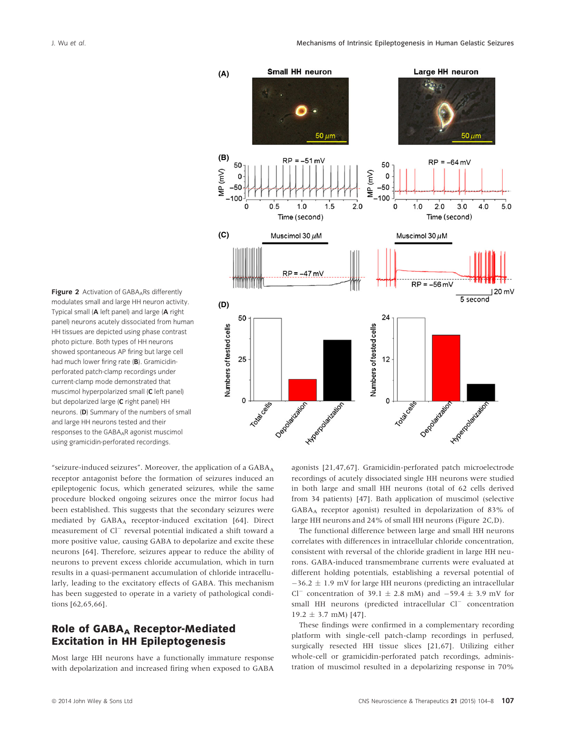Figure 2 Activation of  $GABA_ARs$  differently modulates small and large HH neuron activity. Typical small (A left panel) and large (A right panel) neurons acutely dissociated from human HH tissues are depicted using phase contrast photo picture. Both types of HH neurons showed spontaneous AP firing but large cell had much lower firing rate (B). Gramicidinperforated patch-clamp recordings under current-clamp mode demonstrated that muscimol hyperpolarized small (C left panel) but depolarized large (C right panel) HH neurons. (D) Summary of the numbers of small and large HH neurons tested and their responses to the GABAAR agonist muscimol using gramicidin-perforated recordings.

"seizure-induced seizures". Moreover, the application of a  $GABA_A$ receptor antagonist before the formation of seizures induced an epileptogenic focus, which generated seizures, while the same procedure blocked ongoing seizures once the mirror focus had been established. This suggests that the secondary seizures were mediated by GABA<sub>A</sub> receptor-induced excitation [64]. Direct measurement of Cl<sup>-</sup> reversal potential indicated a shift toward a more positive value, causing GABA to depolarize and excite these neurons [64]. Therefore, seizures appear to reduce the ability of neurons to prevent excess chloride accumulation, which in turn results in a quasi-permanent accumulation of chloride intracellularly, leading to the excitatory effects of GABA. This mechanism has been suggested to operate in a variety of pathological conditions [62,65,66].

## Role of GABA<sub>A</sub> Receptor-Mediated Excitation in HH Epileptogenesis

Most large HH neurons have a functionally immature response with depolarization and increased firing when exposed to GABA



agonists [21,47,67]. Gramicidin-perforated patch microelectrode recordings of acutely dissociated single HH neurons were studied in both large and small HH neurons (total of 62 cells derived from 34 patients) [47]. Bath application of muscimol (selective GABAA receptor agonist) resulted in depolarization of 83% of large HH neurons and 24% of small HH neurons (Figure 2C,D).

The functional difference between large and small HH neurons correlates with differences in intracellular chloride concentration, consistent with reversal of the chloride gradient in large HH neurons. GABA-induced transmembrane currents were evaluated at different holding potentials, establishing a reversal potential of  $-36.2 \pm 1.9$  mV for large HH neurons (predicting an intracellular Cl<sup>-</sup> concentration of 39.1  $\pm$  2.8 mM) and -59.4  $\pm$  3.9 mV for small HH neurons (predicted intracellular Cl<sup>-</sup> concentration  $19.2 \pm 3.7$  mM) [47].

These findings were confirmed in a complementary recording platform with single-cell patch-clamp recordings in perfused, surgically resected HH tissue slices [21,67]. Utilizing either whole-cell or gramicidin-perforated patch recordings, administration of muscimol resulted in a depolarizing response in 70%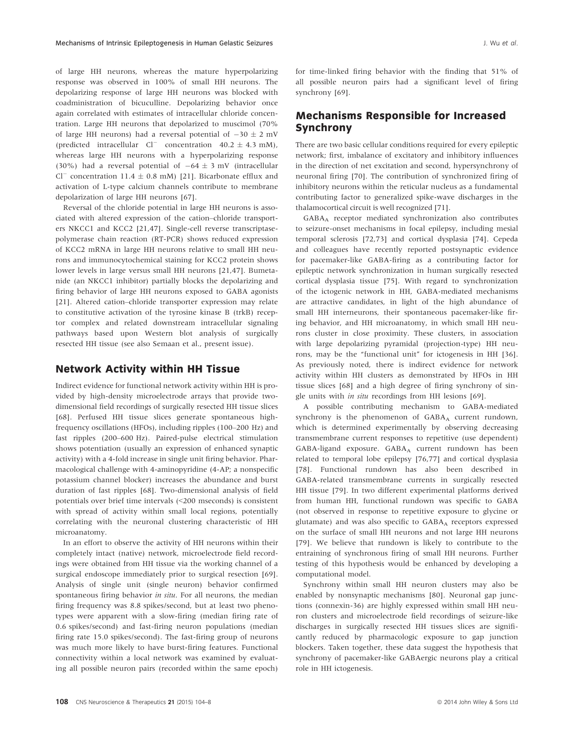of large HH neurons, whereas the mature hyperpolarizing response was observed in 100% of small HH neurons. The depolarizing response of large HH neurons was blocked with coadministration of bicuculline. Depolarizing behavior once again correlated with estimates of intracellular chloride concentration. Large HH neurons that depolarized to muscimol (70% of large HH neurons) had a reversal potential of  $-30 \pm 2$  mV (predicted intracellular  $Cl^-$  concentration  $40.2 \pm 4.3$  mM), whereas large HH neurons with a hyperpolarizing response (30%) had a reversal potential of  $-64 \pm 3$  mV (intracellular Cl<sup>-</sup> concentration 11.4  $\pm$  0.8 mM) [21]. Bicarbonate efflux and activation of L-type calcium channels contribute to membrane depolarization of large HH neurons [67].

Reversal of the chloride potential in large HH neurons is associated with altered expression of the cation–chloride transporters NKCC1 and KCC2 [21,47]. Single-cell reverse transcriptasepolymerase chain reaction (RT-PCR) shows reduced expression of KCC2 mRNA in large HH neurons relative to small HH neurons and immunocytochemical staining for KCC2 protein shows lower levels in large versus small HH neurons [21,47]. Bumetanide (an NKCC1 inhibitor) partially blocks the depolarizing and firing behavior of large HH neurons exposed to GABA agonists [21]. Altered cation–chloride transporter expression may relate to constitutive activation of the tyrosine kinase B (trkB) receptor complex and related downstream intracellular signaling pathways based upon Western blot analysis of surgically resected HH tissue (see also Semaan et al., present issue).

#### Network Activity within HH Tissue

Indirect evidence for functional network activity within HH is provided by high-density microelectrode arrays that provide twodimensional field recordings of surgically resected HH tissue slices [68]. Perfused HH tissue slices generate spontaneous highfrequency oscillations (HFOs), including ripples (100–200 Hz) and fast ripples (200–600 Hz). Paired-pulse electrical stimulation shows potentiation (usually an expression of enhanced synaptic activity) with a 4-fold increase in single unit firing behavior. Pharmacological challenge with 4-aminopyridine (4-AP; a nonspecific potassium channel blocker) increases the abundance and burst duration of fast ripples [68]. Two-dimensional analysis of field potentials over brief time intervals (<200 mseconds) is consistent with spread of activity within small local regions, potentially correlating with the neuronal clustering characteristic of HH microanatomy.

In an effort to observe the activity of HH neurons within their completely intact (native) network, microelectrode field recordings were obtained from HH tissue via the working channel of a surgical endoscope immediately prior to surgical resection [69]. Analysis of single unit (single neuron) behavior confirmed spontaneous firing behavior in situ. For all neurons, the median firing frequency was 8.8 spikes/second, but at least two phenotypes were apparent with a slow-firing (median firing rate of 0.6 spikes/second) and fast-firing neuron populations (median firing rate 15.0 spikes/second). The fast-firing group of neurons was much more likely to have burst-firing features. Functional connectivity within a local network was examined by evaluating all possible neuron pairs (recorded within the same epoch) for time-linked firing behavior with the finding that 51% of all possible neuron pairs had a significant level of firing synchrony [69].

### Mechanisms Responsible for Increased Synchrony

There are two basic cellular conditions required for every epileptic network; first, imbalance of excitatory and inhibitory influences in the direction of net excitation and second, hypersynchrony of neuronal firing [70]. The contribution of synchronized firing of inhibitory neurons within the reticular nucleus as a fundamental contributing factor to generalized spike-wave discharges in the thalamocortical circuit is well recognized [71].

GABAA receptor mediated synchronization also contributes to seizure-onset mechanisms in focal epilepsy, including mesial temporal sclerosis [72,73] and cortical dysplasia [74]. Cepeda and colleagues have recently reported postsynaptic evidence for pacemaker-like GABA-firing as a contributing factor for epileptic network synchronization in human surgically resected cortical dysplasia tissue [75]. With regard to synchronization of the ictogenic network in HH, GABA-mediated mechanisms are attractive candidates, in light of the high abundance of small HH interneurons, their spontaneous pacemaker-like firing behavior, and HH microanatomy, in which small HH neurons cluster in close proximity. These clusters, in association with large depolarizing pyramidal (projection-type) HH neurons, may be the "functional unit" for ictogenesis in HH [36]. As previously noted, there is indirect evidence for network activity within HH clusters as demonstrated by HFOs in HH tissue slices [68] and a high degree of firing synchrony of single units with in situ recordings from HH lesions [69].

A possible contributing mechanism to GABA-mediated synchrony is the phenomenon of  $GABA_A$  current rundown, which is determined experimentally by observing decreasing transmembrane current responses to repetitive (use dependent) GABA-ligand exposure. GABAA current rundown has been related to temporal lobe epilepsy [76,77] and cortical dysplasia [78]. Functional rundown has also been described in GABA-related transmembrane currents in surgically resected HH tissue [79]. In two different experimental platforms derived from human HH, functional rundown was specific to GABA (not observed in response to repetitive exposure to glycine or glutamate) and was also specific to GABAA receptors expressed on the surface of small HH neurons and not large HH neurons [79]. We believe that rundown is likely to contribute to the entraining of synchronous firing of small HH neurons. Further testing of this hypothesis would be enhanced by developing a computational model.

Synchrony within small HH neuron clusters may also be enabled by nonsynaptic mechanisms [80]. Neuronal gap junctions (connexin-36) are highly expressed within small HH neuron clusters and microelectrode field recordings of seizure-like discharges in surgically resected HH tissues slices are significantly reduced by pharmacologic exposure to gap junction blockers. Taken together, these data suggest the hypothesis that synchrony of pacemaker-like GABAergic neurons play a critical role in HH ictogenesis.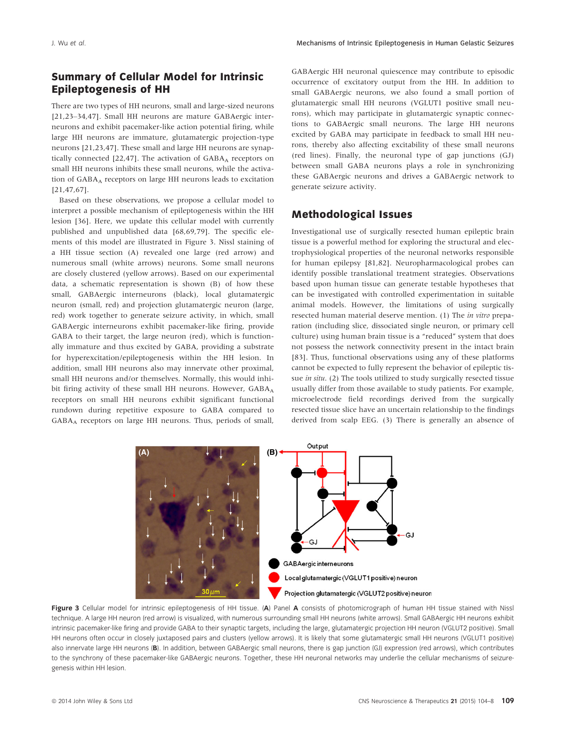#### Summary of Cellular Model for Intrinsic Epileptogenesis of HH

There are two types of HH neurons, small and large-sized neurons [21,23–34,47]. Small HH neurons are mature GABAergic interneurons and exhibit pacemaker-like action potential firing, while large HH neurons are immature, glutamatergic projection-type neurons [21,23,47]. These small and large HH neurons are synaptically connected  $[22,47]$ . The activation of  $GABA_A$  receptors on small HH neurons inhibits these small neurons, while the activation of GABAA receptors on large HH neurons leads to excitation [21,47,67].

Based on these observations, we propose a cellular model to interpret a possible mechanism of epileptogenesis within the HH lesion [36]. Here, we update this cellular model with currently published and unpublished data [68,69,79]. The specific elements of this model are illustrated in Figure 3. Nissl staining of a HH tissue section (A) revealed one large (red arrow) and numerous small (white arrows) neurons. Some small neurons are closely clustered (yellow arrows). Based on our experimental data, a schematic representation is shown (B) of how these small, GABAergic interneurons (black), local glutamatergic neuron (small, red) and projection glutamatergic neuron (large, red) work together to generate seizure activity, in which, small GABAergic interneurons exhibit pacemaker-like firing, provide GABA to their target, the large neuron (red), which is functionally immature and thus excited by GABA, providing a substrate for hyperexcitation/epileptogenesis within the HH lesion. In addition, small HH neurons also may innervate other proximal, small HH neurons and/or themselves. Normally, this would inhibit firing activity of these small HH neurons. However, GABAA receptors on small HH neurons exhibit significant functional rundown during repetitive exposure to GABA compared to GABAA receptors on large HH neurons. Thus, periods of small,

GABAergic HH neuronal quiescence may contribute to episodic occurrence of excitatory output from the HH. In addition to small GABAergic neurons, we also found a small portion of glutamatergic small HH neurons (VGLUT1 positive small neurons), which may participate in glutamatergic synaptic connections to GABAergic small neurons. The large HH neurons excited by GABA may participate in feedback to small HH neurons, thereby also affecting excitability of these small neurons (red lines). Finally, the neuronal type of gap junctions (GJ) between small GABA neurons plays a role in synchronizing these GABAergic neurons and drives a GABAergic network to generate seizure activity.

#### Methodological Issues

Investigational use of surgically resected human epileptic brain tissue is a powerful method for exploring the structural and electrophysiological properties of the neuronal networks responsible for human epilepsy [81,82]. Neuropharmacological probes can identify possible translational treatment strategies. Observations based upon human tissue can generate testable hypotheses that can be investigated with controlled experimentation in suitable animal models. However, the limitations of using surgically resected human material deserve mention. (1) The in vitro preparation (including slice, dissociated single neuron, or primary cell culture) using human brain tissue is a "reduced" system that does not possess the network connectivity present in the intact brain [83]. Thus, functional observations using any of these platforms cannot be expected to fully represent the behavior of epileptic tissue in situ. (2) The tools utilized to study surgically resected tissue usually differ from those available to study patients. For example, microelectrode field recordings derived from the surgically resected tissue slice have an uncertain relationship to the findings derived from scalp EEG. (3) There is generally an absence of



Figure 3 Cellular model for intrinsic epileptogenesis of HH tissue. (A) Panel A consists of photomicrograph of human HH tissue stained with Nissl technique. A large HH neuron (red arrow) is visualized, with numerous surrounding small HH neurons (white arrows). Small GABAergic HH neurons exhibit intrinsic pacemaker-like firing and provide GABA to their synaptic targets, including the large, glutamatergic projection HH neuron (VGLUT2 positive). Small HH neurons often occur in closely juxtaposed pairs and clusters (yellow arrows). It is likely that some glutamatergic small HH neurons (VGLUT1 positive) also innervate large HH neurons (B). In addition, between GABAergic small neurons, there is gap junction (GJ) expression (red arrows), which contributes to the synchrony of these pacemaker-like GABAergic neurons. Together, these HH neuronal networks may underlie the cellular mechanisms of seizuregenesis within HH lesion.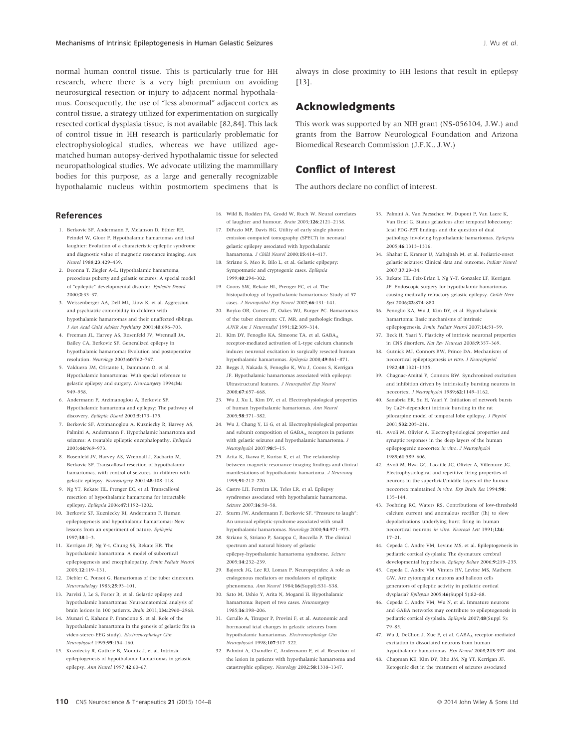normal human control tissue. This is particularly true for HH research, where there is a very high premium on avoiding neurosurgical resection or injury to adjacent normal hypothalamus. Consequently, the use of "less abnormal" adjacent cortex as control tissue, a strategy utilized for experimentation on surgically resected cortical dysplasia tissue, is not available [82,84]. This lack of control tissue in HH research is particularly problematic for electrophysiological studies, whereas we have utilized agematched human autopsy-derived hypothalamic tissue for selected neuropathological studies. We advocate utilizing the mammillary bodies for this purpose, as a large and generally recognizable hypothalamic nucleus within postmortem specimens that is always in close proximity to HH lesions that result in epilepsy [13].

#### Acknowledgments

This work was supported by an NIH grant (NS-056104, J.W.) and grants from the Barrow Neurological Foundation and Arizona Biomedical Research Commission (J.F.K., J.W.)

## Conflict of Interest

The authors declare no conflict of interest.

#### References

- 1. Berkovic SF, Andermann F, Melanson D, Ethier RE, Feindel W, Gloor P. Hypothalamic hamartomas and ictal laughter: Evolution of a characteristic epileptic syndrome and diagnostic value of magnetic resonance imaging. Ann Neurol 1988;23:429–439.
- 2. Deonna T, Ziegler A-L. Hypothalamic hamartoma, precocious puberty and gelastic seizures: A special model of "epileptic" developmental disorder. Epileptic Disord 2000;2:33–37.
- 3. Weissenberger AA, Dell ML, Liow K, et al. Aggression and psychiatric comorbidity in children with hypothalamic hamartomas and their unaffected siblings. J Am Acad Child Adolesc Psychiatry 2001;40:696–703.
- 4. Freeman JL, Harvey AS, Rosenfeld JV, Wrennall JA, Bailey CA, Berkovic SF. Generalized epilepsy in hypothalamic hamartoma: Evolution and postoperative resolution. Neurology 2003;60:762–767.
- 5. Valdueza JM, Cristante L, Dammann O, et al. Hypothalamic hamartomas: With special reference to gelastic epilepsy and surgery. Neurosurgery 1994;34: 949–958.
- 6. Andermann F, Arzimanoglou A, Berkovic SF. Hypothalamic hamartoma and epilepsy: The pathway of discovery. Epileptic Disord 2003;5:173–175.
- 7. Berkovic SF, Arzimanoglou A, Kuzniecky R, Harvey AS, Palmini A, Andermann F. Hypothalamic hamartoma and seizures: A treatable epileptic encephalopathy. Epilepsia 2003;44:969–973.
- 8. Rosenfeld JV, Harvey AS, Wrennall J, Zacharin M, Berkovic SF. Transcallosal resection of hypothalamic hamartomas, with control of seizures, in children with gelastic epilepsy. Neurosurgery 2001;48:108–118.
- 9. Ng YT, Rekate HL, Prenger EC, et al. Transcallosal resection of hypothalamic hamartoma for intractable epilepsy. Epilepsia 2006;47:1192–1202.
- 10. Berkovic SF, Kuzniecky RI, Andermann F. Human epileptogenesis and hypothalamic hamartomas: New lessons from an experiment of nature. Epilepsia 1997;38:1–3.
- 11. Kerrigan JF, Ng Y-t, Chung SS, Rekate HR. The hypothalamic hamartoma: A model of subcortical epileptogenesis and encephalopathy. Semin Pediatr Neurol 2005;12:119–131.
- 12. Diebler C, Ponsot G. Hamartomas of the tuber cinereum. Neuroradiology 1983;25:93–101.
- 13. Parvizi J, Le S, Foster B, et al. Gelastic epilepsy and hypothalamic hamartomas: Neuroanatomical analysis of brain lesions in 100 patients. Brain 2011;134:2960–2968.
- 14. Munari C, Kahane P, Francione S, et al. Role of the hypothalamic hamartoma in the genesis of gelastic fits (a video-stereo-EEG study). Electroencephalogr Clin Neurophysiol 1995;95:154–160.
- 15. Kuzniecky R, Guthrie B, Mountz J, et al. Intrinsic epileptogenesis of hypothalamic hamartomas in gelastic epilepsy. Ann Neurol 1997;42:60–67.
- 16. Wild B, Rodden FA, Grodd W, Ruch W. Neural correlates of laughter and humour. Brain 2003;126:2121–2138. 17. DiFazio MP, Davis RG. Utility of early single photon emission computed tomography (SPECT) in neonatal
- gelastic epilepsy associated with hypothalamic hamartoma. J Child Neurol 2000;15:414-417. 18. Striano S, Meo R, Bilo L, et al. Gelastic epilpepsy:
- Sympotmatic and cryptogenic cases. Epilepsia 1999;40:294–302.
- 19. Coons SW, Rekate HL, Prenger EC, et al. The histopathology of hypothalamic hamartomas: Study of 57 cases. J Neuropathol Exp Neurol 2007;66:131–141.
- 20. Boyko OB, Curnes JT, Oakes WJ, Burger PC. Hamartomas of the tuber cinereum: CT, MR, and pathologic findings. AJNR Am J Neuroradiol 1991;12:309–314.
- 21. Kim DY, Fenoglio KA, Simeone TA, et al. GABAA receptor-mediated activation of L-type calcium channels induces neuronal excitation in surgically resected human hypothalamic hamartomas. Epilepsia 2008;49:861–871.
- 22. Beggs J, Nakada S, Fenoglio K, Wu J, Coons S, Kerrigan JF. Hypothalamic hamartomas associated with epilepsy: Ultrastructural features. J Neuropathol Exp Neurol 2008;67:657–668.
- 23. Wu J, Xu L, Kim DY, et al. Electrophysiological properties of human hypothalamic hamartomas. Ann Neurol 2005;58:371–382.
- 24. Wu J, Chang Y, Li G, et al. Electrophysiological properties and subunit composition of GABAA receptors in patients with gelastic seizures and hypothalamic hamartoma.  ${\cal J}$ Neurophysiol 2007;98:5–15.
- 25. Arita K, Ikawa F, Kurisu K, et al. The relationship between magnetic resonance imaging findings and clinical manifestations of hypothalamic hamartoma. J Neurosurg 1999;91:212–220.
- 26. Castro LH, Ferreira LK, Teles LR, et al. Epilepsy syndromes associated with hypothalamic hamartoma. Seizure 2007;16:50–58.
- 27. Sturm JW, Andermann F, Berkovic SF. "Pressure to laugh": An unusual epileptic syndrome associated with small hypothalamic hamartomas. Neurology 2000;54:971–973.
- 28. Striano S, Striano P, Sarappa C, Boccella P. The clinical spectrum and natural history of gelastic epilepsy-hypothalamic hamartoma syndrome. Seizure 2005;14:232–239.
- 29. Bajorek JG, Lee RJ, Lomax P. Neuropeptides: A role as endogenous mediators or modulators of epileptic phenomena. Ann Neurol 1984;16(Suppl):S31–S38.
- 30. Sato M, Ushio Y, Arita N, Mogami H. Hypothalamic hamartoma: Report of two cases. Neurosurgery 1985;16:198–206.
- 31. Cerullo A, Tinuper P, Provini F, et al. Autonomic and hormaonal ictal changes in gelastic seizures from hypothalamic hamartomas. Electroencephaloar Clin Neurophysiol 1998;107:317–322.
- 32. Palmini A, Chandler C, Andermann F, et al. Resection of the lesion in patients with hypothalamic hamartoma and catastrophic epilepsy. Neurology 2002;58:1338–1347.
- 33. Palmini A, Van Paesschen W, Dupont P, Van Laere K, Van Driel G. Status gelasticus after temporal lobectomy: Ictal FDG-PET findings and the question of dual pathology involving hypothalamic hamartomas. Epilepsia 2005;46:1313–1316.
- 34. Shahar E, Kramer U, Mahajnah M, et al. Pediatric-onset gelastic seizures: Clinical data and outcome. Pediatr Neurol 2007;37:29–34.
- 35. Rekate HL, Feiz-Erfan I, Ng Y-T, Gonzalez LF, Kerrigan JF. Endoscopic surgery for hypothalamic hamartomas causing medically refractory gelastic epilepsy. Childs Nerv Syst 2006;22:874–880.
- 36. Fenoglio KA, Wu J, Kim DY, et al. Hypothalamic hamartoma: Basic mechanisms of intrin epileptogenesis. Semin Pediatr Neurol 2007;14:51–59.
- 37. Beck H, Yaari Y. Plasticity of intrinsic neuronal properties in CNS disorders. Nat Rev Neurosci 2008;9:357–369.
- 38. Gutnick MJ, Connors BW, Prince DA. Mechanisms of neocortical epileptogenesis in vitro. J Neurophysiol 1982;48:1321–1335.
- 39. Chagnac-Amitai Y, Connors BW. Synchronized excitation and inhibition driven by intrinsically bursting neurons in neocortex. J Neurophysiol 1989;62:1149–1162.
- 40. Sanabria ER, Su H, Yaari Y. Initiation of network bursts by Ca2+-dependent intrinsic bursting in the rat pilocarpine model of temporal lobe epilepsy. J Physiol 2001;532:205–216.
- 41. Avoli M, Olivier A. Electrophysiological properties and synaptic responses in the deep layers of the human epileptogenic neocortex in vitro. J Neurophysiol 1989;61:589–606.
- 42. Avoli M, Hwa GG, Lacaille JC, Olivier A, Villemure JG. Electrophysiological and repetitive firing properties of neurons in the superficial/middle layers of the human neocortex maintained in vitro. Exp Brain Res 1994;98: 135–144.
- 43. Foehring RC, Waters RS. Contributions of low-threshold calcium current and anomalous rectifier (Ih) to slow depolarizations underlying burst firing in human neocortical neurons in vitro. Neurosci Lett 1991;124: 17–21.
- 44. Cepeda C, Andre VM, Levine MS, et al. Epileptogenesis in pediatric cortical dysplasia: The dysmature cerebral developmental hypothesis. Epilepsy Behav 2006;9:219–235.
- 45. Cepeda C, Andre VM, Vinters HV, Levine MS, Mathern GW. Are cytomegalic neurons and balloon cells generators of epileptic activity in pediatric cortical dysplasia? Epilepsia 2005;46(Suppl 5):82–88.
- 46. Cepeda C, Andre VM, Wu N, et al. Immature neurons and GABA networks may contribute to epileptogenesis in pediatric cortical dysplasia. Epilepsia 2007;48(Suppl 5): 79–85.
- 47. Wu J, DeChon J, Xue F, et al. GABAA receptor-mediated excitation in dissociated neurons from human hypothalamic hamartomas. Exp Neurol 2008;213:397–404.
- 48. Chapman KE, Kim DY, Rho JM, Ng YT, Kerrigan JF. Ketogenic diet in the treatment of seizures associated